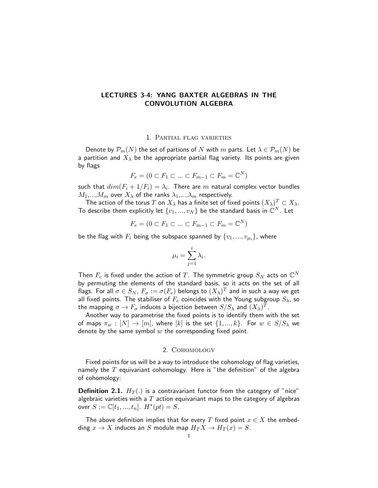# LECTURES 3-4: YANG BAXTER ALGEBRAS IN THE CONVOLUTION ALGEBRA

#### 1. Partial flag varieties

Denote by  $\mathcal{P}_m(N)$  the set of partions of N with m parts. Let  $\lambda \in \mathcal{P}_m(N)$  be a partition and  $X_{\lambda}$  be the appropriate partial flag variety. Its points are given by flags

$$
F_e = (0 \subset F_1 \subset \ldots \subset F_{m-1} \subset F_m = \mathbb{C}^N)
$$

such that  $dim(F_i+1/F_i)=\lambda_i.$  There are  $m$  natural complex vector bundles  $M_1,...,M_m$  over  $X_\lambda$  of the ranks  $\lambda_1,...,\lambda_m$  respectively.

The action of the torus  $T$  on  $X_\lambda$  has a finite set of fixed points  $(X_\lambda)^T \subset X_\lambda.$ To describe them explicitly let  $\{v_1,...,v_N\}$  be the standard basis in  $\mathbb{C}^N.$  Let

$$
F_e = (0 \subset F_1 \subset \ldots \subset F_{m-1} \subset F_m = \mathbb{C}^N)
$$

be the flag with  $F_i$  being the subspace spanned by  $\{v_1,...,v_{\mu_i}\}$ , where

$$
\mu_i = \sum_{j=1}^i \lambda_i.
$$

Then  $F_e$  is fixed under the action of  $T.$  The symmetric group  $S_N$  acts on  $\mathbb{C}^N$ by permuting the elements of the standard basis, so it acts on the set of all flags. For all  $\sigma\in S_N.$   $F_{\sigma}:=\sigma(F_e)$  belongs to  $(X_{\lambda})^T$  and in such a way we get all fixed points. The stabiliser of  $F_e$  coincides with the Young subgroup  $S_\lambda$ , so the mapping  $\sigma \rightarrow F_{\sigma}$  induces a bijection between  $S/S_{\lambda}$  and  $(X_{\lambda})^T.$ 

Another way to parametrise the fixed points is to identify them with the set of maps  $\pi_w : [N] \to [m]$ , where  $[k]$  is the set  $\{1, ..., k\}$ . For  $w \in S/S_\lambda$  we denote by the same symbol  $w$  the corresponding fixed point.

## 2. Cohomology

Fixed points for us will be a way to introduce the cohomology of flag varieties, namely the  $T$  equivariant cohomology. Here is "the definition" of the algebra of cohomology:

**Definition 2.1.**  $H_T(.)$  is a contravariant functor from the category of "nice" algebraic varieties with a  $T$  action equivariant maps to the category of algebras over  $S := \mathbb{C}[t_1, ..., t_n]$ .  $H^*(pt) = S$ .

The above definition implies that for every T fixed point  $x \in X$  the embedding  $x \to X$  induces an S module map  $H_T X \to H_T(x) = S$ .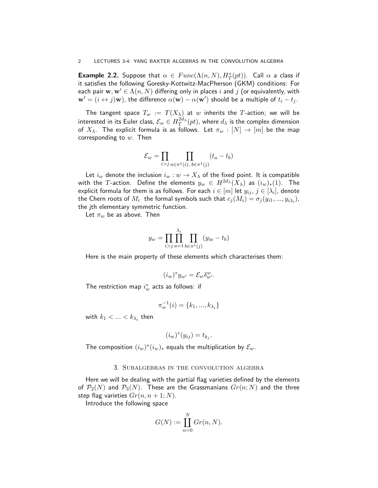**Example 2.2.** Suppose that  $\alpha \in \text{Func}(\Lambda(n, N), H^*_T(pt))$ . Call  $\alpha$  a class if it satisfies the following Goresky-Kottwitz-MacPherson (GKM) conditions: For each pair  $w, w' \in \Lambda(n, N)$  differing only in places i and j (or equivalently, with  $\mathbf{w}' = (i \leftrightarrow j)\mathbf{w}$ ), the difference  $\alpha(\mathbf{w}) - \alpha(\mathbf{w}')$  should be a multiple of  $t_i - t_j$ .

The tangent space  $T_w := T(X_\lambda)$  at w inherits the T-action; we will be interested in its Euler class,  $\mathcal{E}_w\in H^{2d_\lambda}_T(pt)$ , where  $d_\lambda$  is the complex dimension of  $X_{\lambda}$ . The explicit formula is as follows. Let  $\pi_w : [N] \to [m]$  be the map corresponding to  $w$ . Then

$$
\mathcal{E}_w = \prod_{i>j} \prod_{a \in \pi^1(i), b \in \pi^1(j)} (t_a - t_b)
$$

Let  $i_w$  denote the inclusion  $i_w : w \to X_\lambda$  of the fixed point. It is compatible with the T-action. Define the elements  $y_w \in H^{2d_\lambda}(X_\lambda)$  as  $(i_w)_*(1)$ . The explicit formula for them is as follows. For each  $i \in [m]$  let  $y_{ij}, \, j \in [\lambda_i],$  denote the Chern roots of  $M_i$  the formal symbols such that  $c_j(M_i) = \sigma_j(y_{i1},...,y_{i\lambda_i})$ , the jth elementary symmetric function.

Let  $\pi_w$  be as above. Then

$$
y_w = \prod_{i>j} \prod_{a=1}^{\lambda_i} \prod_{b \in \pi^1(j)} (y_{ia} - t_b)
$$

Here is the main property of these elements which characterises them:

$$
(i_w)^* y_{w'} = \mathcal{E}_w \delta_{w'}^w.
$$

The restriction map  $i_w^*$  acts as follows: if

$$
\pi_w^{-1}(i) = \{k_1,...,k_{\lambda_i}\}
$$

with  $k_1 < ... < k_{\lambda_i}$  then

$$
(i_w)^*(y_{ij}) = t_{k_j}
$$

.

The composition  $(i_w)^*(i_w)_*$  equals the multiplication by  $\mathcal{E}_w$ .

### 3. Subalgebras in the convolution algebra

Here we will be dealing with the partial flag varieties defined by the elements of  $\mathcal{P}_2(N)$  and  $\mathcal{P}_3(N)$ . These are the Grassmanians  $Gr(n;N)$  and the three step flag varieties  $Gr(n, n+1; N)$ .

Introduce the following space

$$
G(N) := \coprod_{n=0}^{N} Gr(n, N).
$$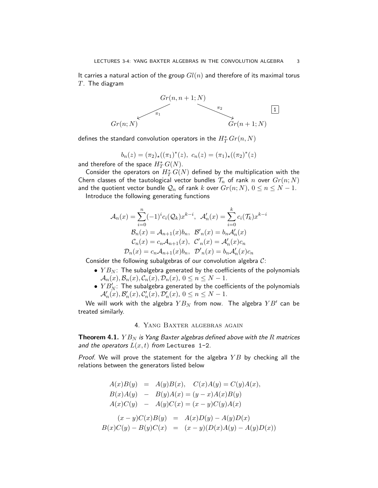It carries a natural action of the group  $Gl(n)$  and therefore of its maximal torus  $T$ . The diagram



defines the standard convolution operators in the  $H_{T}^{\ast}\,Gr(n,N)$ 

$$
b_n(z) = (\pi_2)_\star((\pi_1)^*(z), \ c_n(z) = (\pi_1)_\star((\pi_2)^*(z))
$$

and therefore of the space  $H^*_T\,G(N).$ 

Consider the operators on  $H^*_T G(N)$  defined by the multiplication with the Chern classes of the tautological vector bundles  $\mathcal{T}_n$  of rank n over  $Gr(n;N)$ and the quotient vector bundle  $\mathcal{Q}_n$  of rank k over  $Gr(n; N)$ ,  $0 \le n \le N - 1$ .

Introduce the following generating functions

$$
\mathcal{A}_n(x) = \sum_{i=0}^n (-1)^i c_i (\mathcal{Q}_k) x^{k-i}, \quad \mathcal{A}'_n(x) = \sum_{i=0}^k c_i (\mathcal{T}_k) x^{k-i}
$$

$$
\mathcal{B}_n(x) = \mathcal{A}_{n+1}(x) b_n, \quad \mathcal{B}'_n(x) = b_n \mathcal{A}'_n(x)
$$

$$
\mathcal{C}_n(x) = c_n \mathcal{A}_{n+1}(x), \quad \mathcal{C}'_n(x) = \mathcal{A}'_n(x) c_n
$$

$$
\mathcal{D}_n(x) = c_n \mathcal{A}_{n+1}(x) b_n, \quad \mathcal{D}'_n(x) = b_n \mathcal{A}'_n(x) c_n
$$

Consider the following subalgebras of our convolution algebra  $C$ :

- $YB_N$ : The subalgebra generated by the coefficients of the polynomials  $\mathcal{A}_n(x), \mathcal{B}_n(x), \mathcal{C}_n(x), \mathcal{D}_n(x), 0 \leq n \leq N-1.$
- $\bullet$   $YB_{N}'$ : The subalgebra generated by the coefficients of the polynomials  $\mathcal{A}'_n(x), \mathcal{B}'_n(x), \mathcal{C}'_n(x), \mathcal{D}'_n(x), 0 \le n \le N-1.$

We will work with the algebra  $Y{\bar B}_N$  from now. The algebra  $Y{\bar B}'$  can be treated similarly.

## 4. Yang Baxter algebras again

**Theorem 4.1.**  $YB_N$  is Yang Baxter algebras defined above with the R matrices and the operators  $L(x, t)$  from Lectures 1-2.

*Proof.* We will prove the statement for the algebra  $YB$  by checking all the relations between the generators listed below

$$
A(x)B(y) = A(y)B(x), C(x)A(y) = C(y)A(x),
$$
  
\n
$$
B(x)A(y) - B(y)A(x) = (y - x)A(x)B(y)
$$
  
\n
$$
A(x)C(y) - A(y)C(x) = (x - y)C(y)A(x)
$$
  
\n
$$
(x - y)C(x)B(y) = A(x)D(y) - A(y)D(x)
$$
  
\n
$$
B(x)C(y) - B(y)C(x) = (x - y)(D(x)A(y) - A(y)D(x))
$$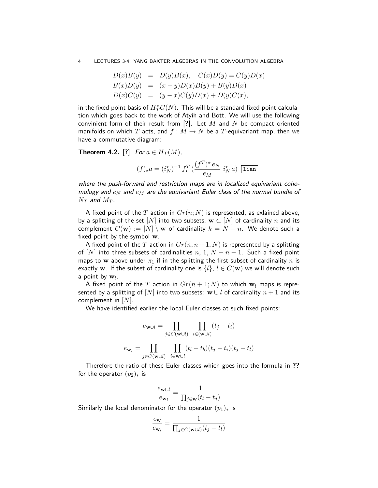#### 4 LECTURES 3-4: YANG BAXTER ALGEBRAS IN THE CONVOLUTION ALGEBRA

$$
D(x)B(y) = D(y)B(x), C(x)D(y) = C(y)D(x)
$$
  
\n
$$
B(x)D(y) = (x - y)D(x)B(y) + B(y)D(x)
$$
  
\n
$$
D(x)C(y) = (y - x)C(y)D(x) + D(y)C(x),
$$

in the fixed point basis of  $H^*_T G(N).$  This will be a standard fixed point calculation which goes back to the work of Atyih and Bott. We will use the following convinient form of their result from [?]. Let M and N be compact oriented manifolds on which T acts, and  $f : M \to N$  be a T-equivariant map, then we have a commutative diagram:

**Theorem 4.2.** [?]. For  $a \in H_T(M)$ ,

$$
(f)_{\star}a = (i_N^{\star})^{-1} f_{\star}^T \left( \frac{(f^T)^{\star} e_N}{e_M} i_N^{\star} a \right) \boxed{\text{lian}}
$$

where the push-forward and restriction maps are in localized equivariant cohomology and  $e_N$  and  $e_M$  are the equivariant Euler class of the normal bundle of  $N_T$  and  $M_T$ .

A fixed point of the T action in  $Gr(n; N)$  is represented, as exlained above, by a splitting of the set  $[N]$  into two subsets,  $\mathbf{w} \subset [N]$  of cardinality n and its complement  $C(\mathbf{w}) := [N] \setminus \mathbf{w}$  of cardinality  $k = N - n$ . We denote such a fixed point by the symbol w.

A fixed point of the T action in  $Gr(n, n+1; N)$  is represented by a splitting of  $[N]$  into three subsets of cardinalities n, 1,  $N - n - 1$ . Such a fixed point maps to w above under  $\pi_1$  if in the splitting the first subset of cardinality n is exactly w. If the subset of cardinality one is  $\{l\}$ ,  $l \in C(\mathbf{w})$  we will denote such a point by  $w_l$ .

A fixed point of the T action in  $Gr(n+1; N)$  to which  $w_l$  maps is represented by a splitting of  $[N]$  into two subsets: w  $\cup$  l of cardinality  $n+1$  and its complement in  $[N]$ .

We have identified earlier the local Euler classes at such fixed points:

$$
e_{\mathbf{w} \cup l} = \prod_{j \in C(\mathbf{w} \cup l)} \prod_{i \in (\mathbf{w} \cup l)} (t_j - t_i)
$$

$$
e_{\mathbf{w}_l} = \prod_{j \in C(\mathbf{w} \cup l)} \prod_{i \in \mathbf{w} \cup l} (t_l - t_b)(t_j - t_i)(t_j - t_l)
$$

Therefore the ratio of these Euler classes which goes into the formula in ?? for the operator  $(p_2)_*$  is

$$
\frac{e_{\mathbf{w} \cup l}}{e_{\mathbf{w}_l}} = \frac{1}{\prod_{j \in \mathbf{w}} (t_l - t_j)}
$$

Similarly the local denominator for the operator  $(p_1)_*$  is

$$
\frac{e_{\mathbf{w}}}{e_{\mathbf{w}_l}} = \frac{1}{\prod_{j \in C(\mathbf{w} \cup l)}(t_j - t_l)}
$$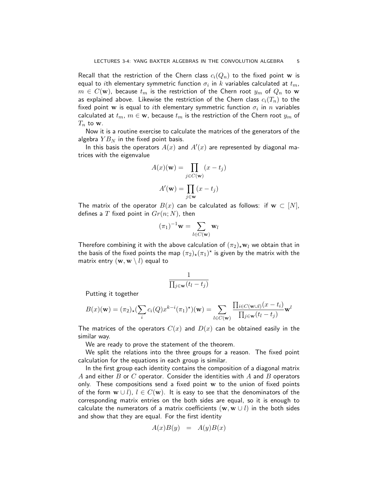Recall that the restriction of the Chern class  $c_i(Q_n)$  to the fixed point w is equal to  $i$ th elementary symmetric function  $\sigma_i$  in  $k$  variables calculated at  $t_m$ ,  $m \in C(\mathbf{w})$ , because  $t_m$  is the restriction of the Chern root  $y_m$  of  $Q_n$  to w as explained above. Likewise the restriction of the Chern class  $c_i(T_n)$  to the fixed point  ${\bf w}$  is equal to  $i$ th elementary symmetric function  $\sigma_i$  in  $n$  variables calculated at  $t_m$ ,  $m \in \mathbf{w}$ , because  $t_m$  is the restriction of the Chern root  $y_m$  of  $T_n$  to w.

Now it is a routine exercise to calculate the matrices of the generators of the algebra  $YB_N$  in the fixed point basis.

In this basis the operators  $A(x)$  and  $A'(x)$  are represented by diagonal matrices with the eigenvalue

$$
A(x)(\mathbf{w}) = \prod_{j \in C(\mathbf{w})} (x - t_j)
$$

$$
A'(\mathbf{w}) = \prod_{j \in \mathbf{w}} (x - t_j)
$$

The matrix of the operator  $B(x)$  can be calculated as follows: if  $\mathbf{w} \subset [N]$ , defines a T fixed point in  $Gr(n; N)$ , then

$$
(\pi_1)^{-1}\mathbf{w} = \sum_{l \in C(\mathbf{w})} \mathbf{w}_l
$$

Therefore combining it with the above calculation of  $(\pi_2)_\star \mathbf{w}_l$  we obtain that in the basis of the fixed points the map  $(\pi_2)_\star(\pi_1)^\star$  is given by the matrix with the matrix entry  $(\mathbf{w}, \mathbf{w} \setminus l)$  equal to

$$
\frac{1}{\prod_{j\in\mathbf{w}}(t_l-t_j)}
$$

Putting it together

$$
B(x)(\mathbf{w}) = (\pi_2)_*(\sum_i c_i(Q)x^{k-i}(\pi_1)^*) (\mathbf{w}) = \sum_{l \in C(\mathbf{w})} \frac{\prod_{i \in C(\mathbf{w} \cup l)} (x - t_i)}{\prod_{j \in \mathbf{w}} (t_l - t_j)} \mathbf{w}^l
$$

The matrices of the operators  $C(x)$  and  $D(x)$  can be obtained easily in the similar way.

We are ready to prove the statement of the theorem.

We split the relations into the three groups for a reason. The fixed point calculation for the equations in each group is similar.

In the first group each identity contains the composition of a diagonal matrix A and either B or C operator. Consider the identities with A and B operators only. These compositions send a fixed point  $w$  to the union of fixed points of the form  $\mathbf{w} \cup l$ ,  $l \in C(\mathbf{w})$ . It is easy to see that the denominators of the corresponding matrix entries on the both sides are equal, so it is enough to calculate the numerators of a matrix coefficients  $(\mathbf{w}, \mathbf{w} \cup l)$  in the both sides and show that they are equal. For the first identity

$$
A(x)B(y) = A(y)B(x)
$$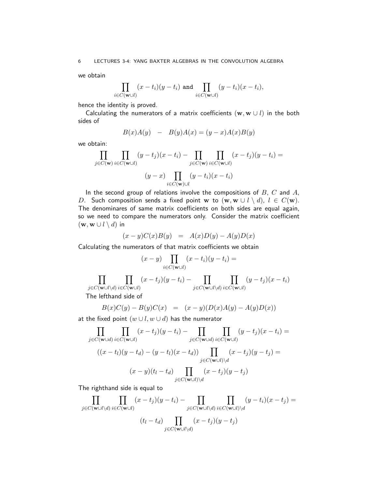we obtain

$$
\prod_{i \in C(\mathbf{w} \cup l)} (x - t_i)(y - t_i) \text{ and } \prod_{i \in C(\mathbf{w} \cup l)} (y - t_i)(x - t_i),
$$

hence the identity is proved.

Calculating the numerators of a matrix coefficients  $(\mathbf{w}, \mathbf{w} \cup l)$  in the both sides of

$$
B(x)A(y) - B(y)A(x) = (y - x)A(x)B(y)
$$

we obtain:

$$
\prod_{j \in C(\mathbf{w})} \prod_{i \in C(\mathbf{w} \cup l)} (y - t_j)(x - t_i) - \prod_{j \in C(\mathbf{w})} \prod_{i \in C(\mathbf{w} \cup l)} (x - t_j)(y - t_i) =
$$
  

$$
(y - x) \prod_{i \in C(\mathbf{w}) \cup l} (y - t_i)(x - t_i)
$$

In the second group of relations involve the compositions of  $B$ ,  $C$  and  $A$ , D. Such composition sends a fixed point w to  $(\mathbf{w}, \mathbf{w} \cup \{l \setminus d), l \in C(\mathbf{w})$ . The denominares of same matrix coefficients on both sides are equal again, so we need to compare the numerators only. Consider the matrix coefficient  $(\mathbf{w}, \mathbf{w} \cup l \setminus d)$  in

$$
(x-y)C(x)B(y) = A(x)D(y) - A(y)D(x)
$$

Calculating the numerators of that matrix coefficients we obtain

$$
(x - y) \prod_{i \in C(\mathbf{w} \cup l)} (x - t_i)(y - t_i) =
$$
  

$$
\prod_{j \in C(\mathbf{w} \cup l \setminus d)} \prod_{i \in C(\mathbf{w} \cup l)} (x - t_j)(y - t_i) - \prod_{j \in C(\mathbf{w} \cup l \setminus d)} \prod_{i \in C(\mathbf{w} \cup l)} (y - t_j)(x - t_i)
$$

The lefthand side of

$$
B(x)C(y) - B(y)C(x) = (x - y)(D(x)A(y) - A(y)D(x))
$$

at the fixed point  $(w \cup l, w \cup d)$  has the numerator

$$
\prod_{j \in C(\mathbf{w} \cup d)} \prod_{i \in C(\mathbf{w} \cup l)} (x - t_j)(y - t_i) - \prod_{j \in C(\mathbf{w} \cup d)} \prod_{i \in C(\mathbf{w} \cup l)} (y - t_j)(x - t_i) =
$$
\n
$$
((x - t_l)(y - t_d) - (y - t_l)(x - t_d)) \prod_{j \in C(\mathbf{w} \cup l) \setminus d} (x - t_j)(y - t_j) =
$$
\n
$$
(x - y)(t_l - t_d) \prod_{j \in C(\mathbf{w} \cup l) \setminus d} (x - t_j)(y - t_j)
$$

The righthand side is equal to

$$
\prod_{j \in C(\mathbf{w} \cup l \setminus d)} \prod_{i \in C(\mathbf{w} \cup l)} (x - t_j)(y - t_i) - \prod_{j \in C(\mathbf{w} \cup l \setminus d)} \prod_{i \in C(\mathbf{w} \cup l \setminus d)} (y - t_i)(x - t_j) =
$$
\n
$$
(t_l - t_d) \prod_{j \in C(\mathbf{w} \cup l \setminus d)} (x - t_j)(y - t_j)
$$